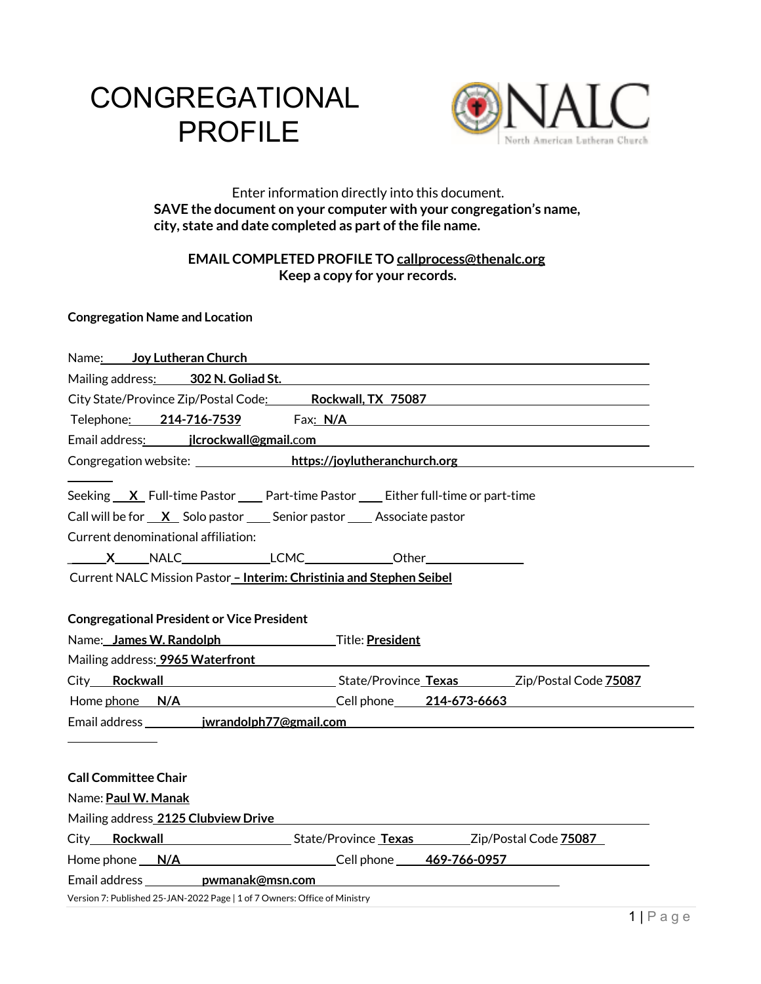# **CONGREGATIONAL** PROFILE



# Enter information directly into this document. **SAVE the document on your computer with your congregation's name, city, state and date completed as part of the file name.**

# **EMAIL COMPLETED PROFILE TO callprocess@thenalc.org Keep a copy for your records.**

# **Congregation Name and Location**

| Name: Joy Lutheran Church <b>Canadian Contract Contract Contract Contract Contract Contract Contract Contract Contract Contract Contract Contract Contract Contract Contract Contract Contract Contract Contract Contract Contra</b> |
|--------------------------------------------------------------------------------------------------------------------------------------------------------------------------------------------------------------------------------------|
| Mailing address: 302 N. Goliad St. 2004 12:00:00 12:00:00 12:00:00 12:00:00 12:00:00 12:00:00 12:00:00 12:00:0                                                                                                                       |
| City State/Province Zip/Postal Code: Rockwall, TX 75087                                                                                                                                                                              |
| Telephone: 214-716-7539 Fax: N/A Chambre 2014 12:00 12:00 12:00 Fax: N/A                                                                                                                                                             |
|                                                                                                                                                                                                                                      |
| Congregation website: https://joylutheranchurch.org/                                                                                                                                                                                 |
| Seeking <u>X</u> Full-time Pastor ____ Part-time Pastor ____ Either full-time or part-time                                                                                                                                           |
| Call will be for $X$ Solo pastor Senior pastor Associate pastor                                                                                                                                                                      |
| Current denominational affiliation:                                                                                                                                                                                                  |
|                                                                                                                                                                                                                                      |
| Current NALC Mission Pastor - Interim: Christinia and Stephen Seibel                                                                                                                                                                 |
| <b>Congregational President or Vice President</b>                                                                                                                                                                                    |
| Name: James W. Randolph Title: President                                                                                                                                                                                             |
| Mailing address: <b>9965 Waterfront</b> National Communication of the Communication of the Communication of the Communication of the Communication of the Communication of the Communication of the Communication of the Communicat  |
| City Rockwall State/Province Texas Zip/Postal Code 75087                                                                                                                                                                             |
| Home <u>phone N/A Cell phone 214-673-6663</u>                                                                                                                                                                                        |
|                                                                                                                                                                                                                                      |
|                                                                                                                                                                                                                                      |
| <b>Call Committee Chair</b>                                                                                                                                                                                                          |
| Name: Paul W. Manak                                                                                                                                                                                                                  |
| Mailing address 2125 Clubview Drive                                                                                                                                                                                                  |
| City Rockwall State/Province Texas Zip/Postal Code 75087                                                                                                                                                                             |
| Home phone <u>N/A Cell phone 469-766-0957</u>                                                                                                                                                                                        |
|                                                                                                                                                                                                                                      |
| Version 7: Published 25-JAN-2022 Page   1 of 7 Owners: Office of Ministry                                                                                                                                                            |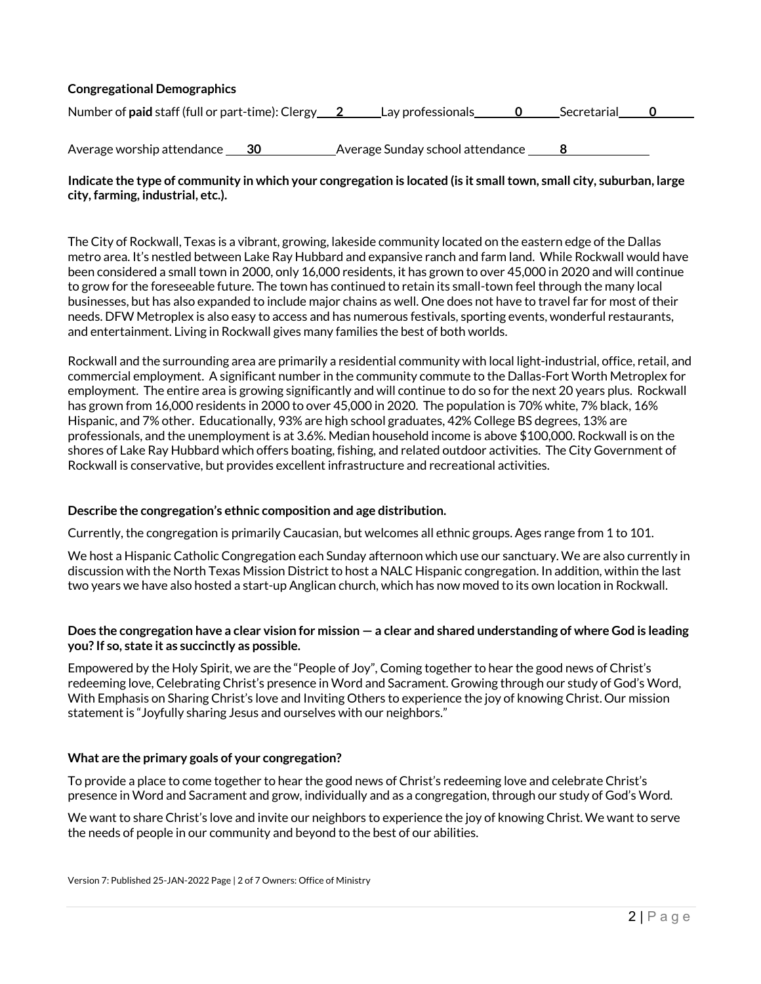# **Congregational Demographics**

| Number of paid staff (full or part-time): Clergy 2 | Lay professionals | Secretarial |  |
|----------------------------------------------------|-------------------|-------------|--|
|                                                    |                   |             |  |

Average worship attendance **30** Average Sunday school attendance **8**

# **Indicate the type of community in which your congregation is located (is it small town, small city, suburban, large city, farming, industrial, etc.).**

The City of Rockwall, Texas is a vibrant, growing, lakeside community located on the eastern edge of the Dallas metro area. It's nestled between Lake Ray Hubbard and expansive ranch and farm land. While Rockwall would have been considered a small town in 2000, only 16,000 residents, it has grown to over 45,000 in 2020 and will continue to grow for the foreseeable future. The town has continued to retain its small-town feel through the many local businesses, but has also expanded to include major chains as well. One does not have to travel far for most of their needs. DFW Metroplex is also easy to access and has numerous festivals, sporting events, wonderful restaurants, and entertainment. Living in Rockwall gives many families the best of both worlds.

Rockwall and the surrounding area are primarily a residential community with local light-industrial, office, retail, and commercial employment. A significant number in the community commute to the Dallas-Fort Worth Metroplex for employment. The entire area is growing significantly and will continue to do so for the next 20 years plus. Rockwall has grown from 16,000 residents in 2000 to over 45,000 in 2020. The population is 70% white, 7% black, 16% Hispanic, and 7% other. Educationally, 93% are high school graduates, 42% College BS degrees, 13% are professionals, and the unemployment is at 3.6%. Median household income is above \$100,000. Rockwall is on the shores of Lake Ray Hubbard which offers boating, fishing, and related outdoor activities. The City Government of Rockwall is conservative, but provides excellent infrastructure and recreational activities.

#### **Describe the congregation's ethnic composition and age distribution.**

Currently, the congregation is primarily Caucasian, but welcomes all ethnic groups. Ages range from 1 to 101.

We host a Hispanic Catholic Congregation each Sunday afternoon which use our sanctuary. We are also currently in discussion with the North Texas Mission District to host a NALC Hispanic congregation. In addition, within the last two years we have also hosted a start-up Anglican church, which has now moved to its own location in Rockwall.

#### **Does the congregation have a clear vision for mission — a clear and shared understanding of where God is leading you? If so, state it as succinctly as possible.**

Empowered by the Holy Spirit, we are the "People of Joy", Coming together to hear the good news of Christ's redeeming love, Celebrating Christ's presence in Word and Sacrament. Growing through our study of God's Word, With Emphasis on Sharing Christ's love and Inviting Others to experience the joy of knowing Christ. Our mission statement is "Joyfully sharing Jesus and ourselves with our neighbors."

#### **What are the primary goals of your congregation?**

To provide a place to come together to hear the good news of Christ's redeeming love and celebrate Christ's presence in Word and Sacrament and grow, individually and as a congregation, through our study of God's Word.

We want to share Christ's love and invite our neighbors to experience the joy of knowing Christ. We want to serve the needs of people in our community and beyond to the best of our abilities.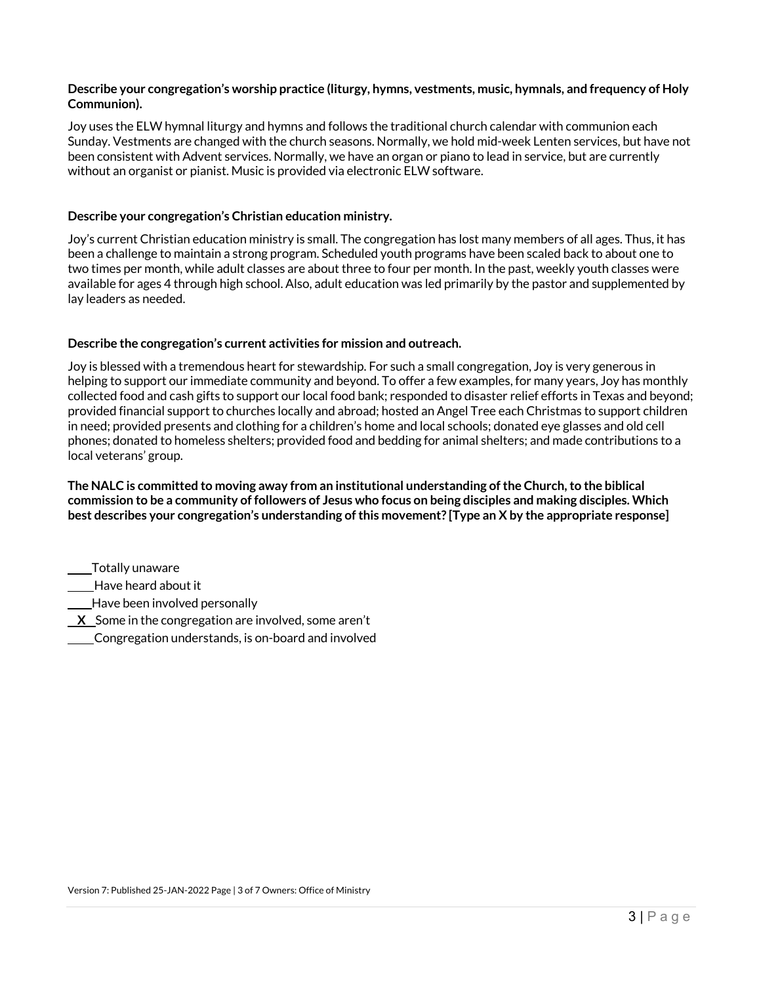# **Describe your congregation's worship practice (liturgy, hymns, vestments, music, hymnals, and frequency of Holy Communion).**

Joy uses the ELW hymnal liturgy and hymns and follows the traditional church calendar with communion each Sunday. Vestments are changed with the church seasons. Normally, we hold mid-week Lenten services, but have not been consistent with Advent services. Normally, we have an organ or piano to lead in service, but are currently without an organist or pianist. Music is provided via electronic ELW software.

# **Describe your congregation's Christian education ministry.**

Joy's current Christian education ministry is small. The congregation has lost many members of all ages. Thus, it has been a challenge to maintain a strong program. Scheduled youth programs have been scaled back to about one to two times per month, while adult classes are about three to four per month. In the past, weekly youth classes were available for ages 4 through high school. Also, adult education was led primarily by the pastor and supplemented by lay leaders as needed.

# **Describe the congregation's current activities for mission and outreach.**

Joy is blessed with a tremendous heart for stewardship. For such a small congregation, Joy is very generous in helping to support our immediate community and beyond. To offer a few examples, for many years, Joy has monthly collected food and cash gifts to support our local food bank; responded to disaster relief efforts in Texas and beyond; provided financial support to churches locally and abroad; hosted an Angel Tree each Christmas to support children in need; provided presents and clothing for a children's home and local schools; donated eye glasses and old cell phones; donated to homeless shelters; provided food and bedding for animal shelters; and made contributions to a local veterans' group.

**The NALC is committed to moving away from an institutional understanding of the Church, to the biblical commission to be a community of followers of Jesus who focus on being disciples and making disciples. Which best describes your congregation's understanding of this movement? [Type an X by the appropriate response]** 

 Totally unaware Have heard about it Have been involved personally **X** Some in the congregation are involved, some aren't Congregation understands, is on-board and involved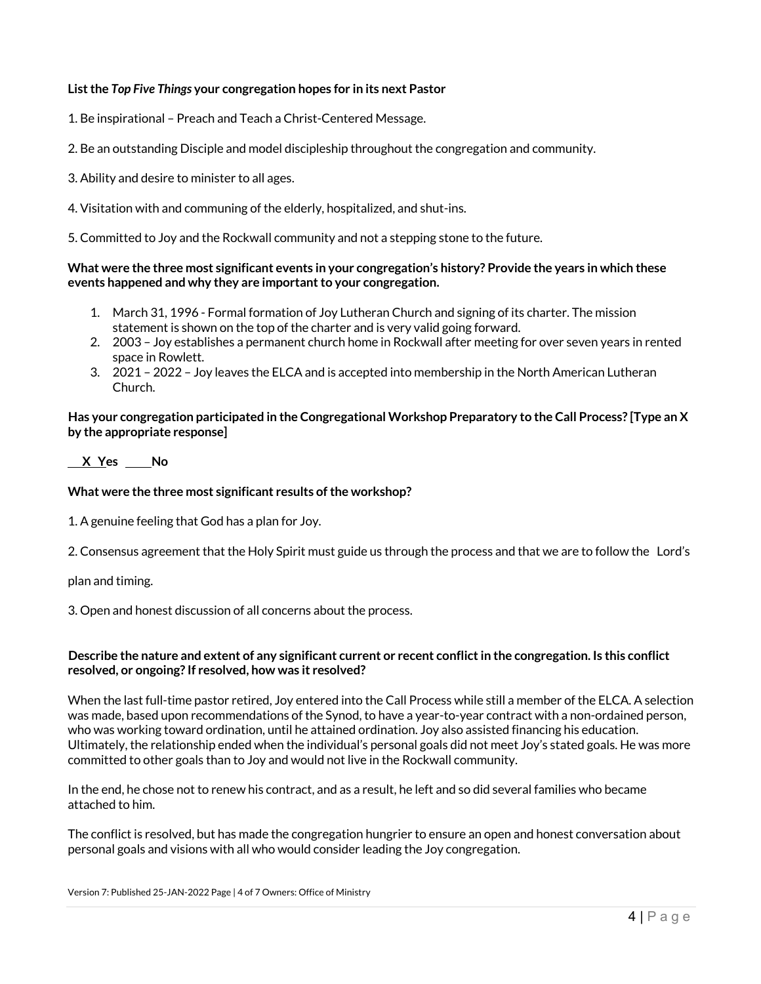# **Listthe** *Top Five Things* **your congregation hopes for in its next Pastor**

1. Be inspirational – Preach and Teach a Christ-Centered Message.

2. Be an outstanding Disciple and model discipleship throughout the congregation and community.

3. Ability and desire to minister to all ages.

4. Visitation with and communing of the elderly, hospitalized, and shut-ins.

5. Committed to Joy and the Rockwall community and not a stepping stone to the future.

#### **What were the three most significant events in your congregation's history? Provide the years in which these events happened and why they are important to your congregation.**

- 1. March 31, 1996 Formal formation of Joy Lutheran Church and signing of its charter. The mission statement is shown on the top of the charter and is very valid going forward.
- 2. 2003 Joy establishes a permanent church home in Rockwall after meeting for over seven years in rented space in Rowlett.
- 3. 2021 2022 Joy leaves the ELCA and is accepted into membership in the North American Lutheran Church.

# **Has your congregation participated in the Congregational Workshop Preparatory to the Call Process? [Type an X by the appropriate response]**

# **X Yes No**

# **What were the three most significant results of the workshop?**

1. A genuine feeling that God has a plan for Joy.

2. Consensus agreement that the Holy Spirit must guide us through the process and that we are to follow the Lord's

plan and timing.

3. Open and honest discussion of all concerns about the process.

# **Describe the nature and extent of any significant current or recent conflict in the congregation. Is this conflict resolved, or ongoing? If resolved, how was it resolved?**

When the last full-time pastor retired, Joy entered into the Call Process while still a member of the ELCA. A selection was made, based upon recommendations of the Synod, to have a year-to-year contract with a non-ordained person, who was working toward ordination, until he attained ordination. Joy also assisted financing his education. Ultimately, the relationship ended when the individual's personal goals did not meet Joy's stated goals. He was more committed to other goals than to Joy and would notlive in the Rockwall community.

In the end, he chose not to renew his contract, and as a result, he left and so did several families who became attached to him.

The conflict is resolved, but has made the congregation hungrier to ensure an open and honest conversation about personal goals and visions with all who would consider leading the Joy congregation.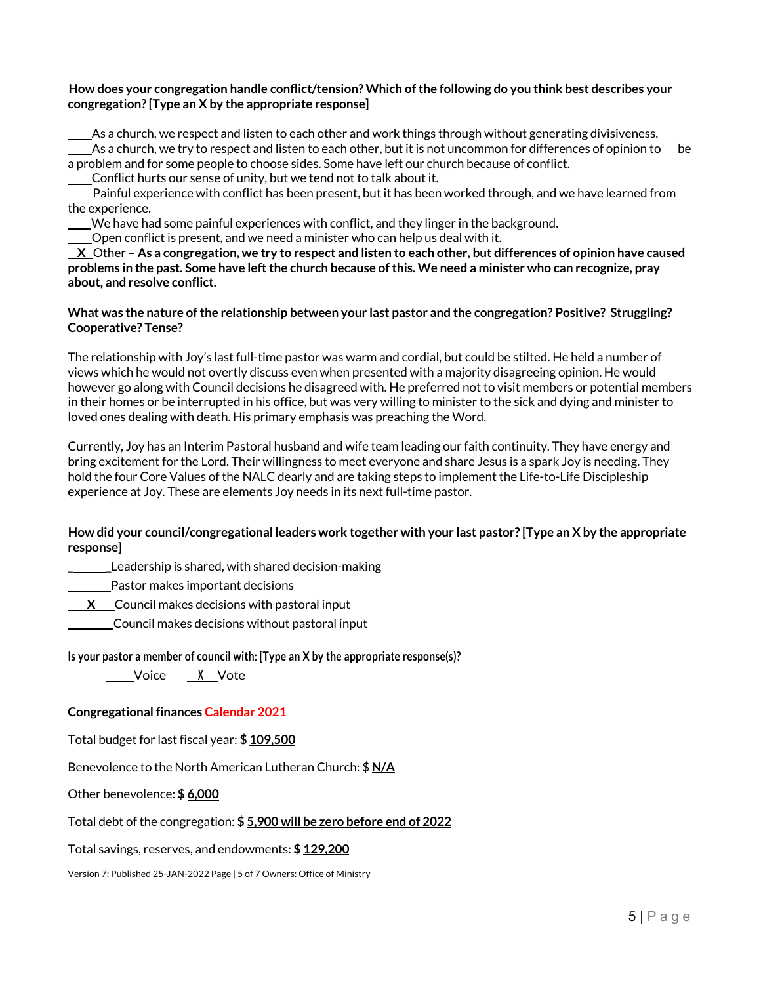# **How does your congregation handle conflict/tension? Which of the following do you think best describes your congregation? [Type an X by the appropriate response]**

 As a church, we respect and listen to each other and work things through without generating divisiveness.  $\_\_$ As a church, we try to respect and listen to each other, but it is not uncommon for differences of opinion to be a problem and for some people to choose sides. Some have left our church because of conflict. Conflict hurts our sense of unity, but we tend not to talk about it.

 Painful experience with conflict has been present, but it has been worked through, and we have learned from the experience.

We have had some painful experiences with conflict, and they linger in the background.

Open conflict is present, and we need a minister who can help us deal with it.

 **X** Other – **As a congregation, we try to respect and listen to each other, but differences of opinion have caused problems in the past. Some have left the church because of this. We need a minister who can recognize, pray about, and resolve conflict.**

# **What was the nature of the relationship between your last pastor and the congregation? Positive? Struggling? Cooperative? Tense?**

The relationship with Joy's last full-time pastor was warm and cordial, but could be stilted. He held a number of views which he would not overtly discuss even when presented with a majority disagreeing opinion. He would however go along with Council decisions he disagreed with. He preferred not to visit members or potential members in their homes or be interrupted in his office, but was very willing to minister to the sick and dying and minister to loved ones dealing with death. His primary emphasis was preaching the Word.

Currently, Joy has an Interim Pastoral husband and wife team leading our faith continuity. They have energy and bring excitement for the Lord. Their willingness to meet everyone and share Jesus is a spark Joy is needing. They hold the four Core Values of the NALC dearly and are taking steps to implement the Life-to-Life Discipleship experience at Joy. These are elements Joy needs in its next full-time pastor.

# **How did your council/congregational leaders work together with your last pastor? [Type an X by the appropriate response]**

Leadership is shared, with shared decision-making

Pastor makes important decisions

**X** Council makes decisions with pastoral input

Council makes decisions without pastoral input

#### **Is your pastor a member of council with: [Type an X by the appropriate response(s)?**

Voice **<sup>X</sup>** Vote

# **Congregational finances Calendar 2021**

Total budget for last fiscal year: **\$ 109,500**

Benevolence to the North American Lutheran Church: \$ **N/A**

Other benevolence: **\$ 6,000**

#### Total debt of the congregation: **\$ 5,900 will be zero before end of 2022**

Total savings, reserves, and endowments: **\$ 129,200**

Version 7: Published 25-JAN-2022 Page | 5 of 7 Owners: Office of Ministry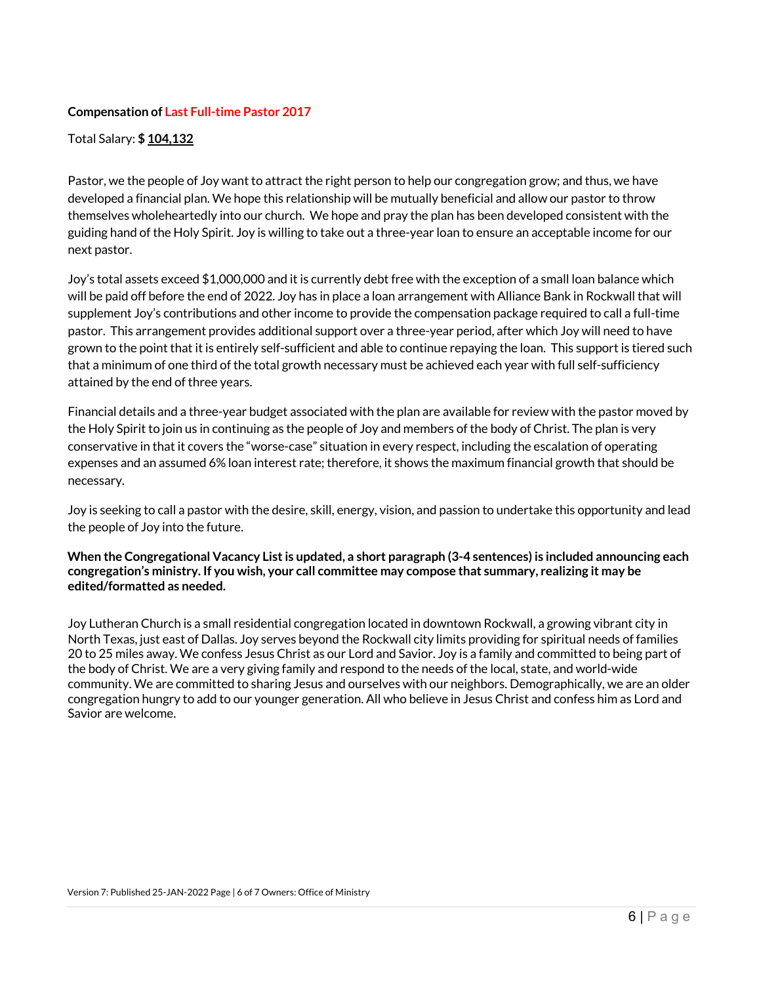# **Compensation of Last Full-time Pastor 2017**

Total Salary: **\$ 104,132**

Pastor, we the people of Joy want to attract the right person to help our congregation grow; and thus, we have developed a financial plan. We hope this relationship will be mutually beneficial and allow our pastor to throw themselves wholeheartedly into our church. We hope and pray the plan has been developed consistent with the guiding hand of the Holy Spirit. Joy is willing to take out a three-year loan to ensure an acceptable income for our next pastor.

Joy's total assets exceed \$1,000,000 and it is currently debt free with the exception of a small loan balance which will be paid off before the end of 2022. Joy has in place a loan arrangement with Alliance Bank in Rockwall that will supplement Joy's contributions and other income to provide the compensation package required to call a full-time pastor. This arrangement provides additional support over a three-year period, after which Joy will need to have grown to the point that it is entirely self-sufficient and able to continue repaying the loan. This support is tiered such that a minimum of one third of the total growth necessary must be achieved each year with full self-sufficiency attained by the end of three years.

Financial details and a three-year budget associated with the plan are available for review with the pastor moved by the Holy Spirit to join us in continuing as the people of Joy and members of the body of Christ. The plan is very conservative in that it covers the "worse-case" situation in every respect, including the escalation of operating expenses and an assumed 6% loan interest rate; therefore, it shows the maximum financial growth that should be necessary.

Joy is seeking to call a pastor with the desire, skill, energy, vision, and passion to undertake this opportunity and lead the people of Joy into the future.

# **When the Congregational Vacancy List is updated, a short paragraph (3-4 sentences) is included announcing each congregation's ministry. If you wish, your call committee may compose that summary, realizing it may be edited/formatted as needed.**

Joy Lutheran Church is a small residential congregation located in downtown Rockwall, a growing vibrant city in North Texas, just east of Dallas. Joy serves beyond the Rockwall city limits providing for spiritual needs of families 20 to 25 miles away. We confess Jesus Christ as our Lord and Savior. Joy is a family and committed to being part of the body of Christ. We are a very giving family and respond to the needs of the local, state, and world-wide community. We are committed to sharing Jesus and ourselves with our neighbors. Demographically, we are an older congregation hungry to add to our younger generation. All who believe in Jesus Christ and confess him as Lord and Savior are welcome.